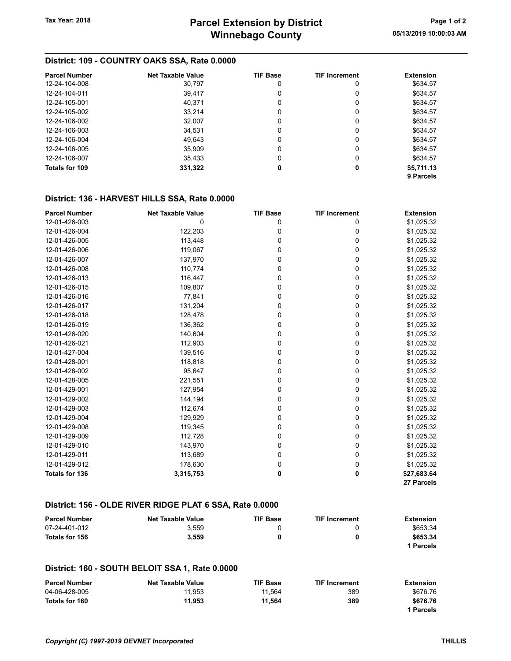## District: 109 - COUNTRY OAKS SSA, Rate 0.0000

| <b>Parcel Number</b> | <b>Net Taxable Value</b> | <b>TIF Base</b> | <b>TIF Increment</b> | <b>Extension</b> |
|----------------------|--------------------------|-----------------|----------------------|------------------|
| 12-24-104-008        | 30.797                   | 0               | 0                    | \$634.57         |
| 12-24-104-011        | 39,417                   | 0               | 0                    | \$634.57         |
| 12-24-105-001        | 40,371                   | 0               | 0                    | \$634.57         |
| 12-24-105-002        | 33,214                   | 0               | 0                    | \$634.57         |
| 12-24-106-002        | 32,007                   | 0               | 0                    | \$634.57         |
| 12-24-106-003        | 34.531                   | 0               | 0                    | \$634.57         |
| 12-24-106-004        | 49,643                   | 0               | 0                    | \$634.57         |
| 12-24-106-005        | 35.909                   | 0               | 0                    | \$634.57         |
| 12-24-106-007        | 35,433                   | 0               | 0                    | \$634.57         |
| Totals for 109       | 331,322                  | 0               | 0                    | \$5,711.13       |
|                      |                          |                 |                      | 9 Parcels        |

## District: 136 - HARVEST HILLS SSA, Rate 0.0000

| <b>Parcel Number</b>  | <b>Net Taxable Value</b> | <b>TIF Base</b> | <b>TIF Increment</b> | <b>Extension</b> |
|-----------------------|--------------------------|-----------------|----------------------|------------------|
| 12-01-426-003         | 0                        | 0               | 0                    | \$1,025.32       |
| 12-01-426-004         | 122,203                  | 0               | 0                    | \$1,025.32       |
| 12-01-426-005         | 113,448                  | 0               | 0                    | \$1,025.32       |
| 12-01-426-006         | 119,067                  | 0               | 0                    | \$1,025.32       |
| 12-01-426-007         | 137,970                  | 0               | 0                    | \$1,025.32       |
| 12-01-426-008         | 110,774                  | 0               | 0                    | \$1,025.32       |
| 12-01-426-013         | 116,447                  | 0               | 0                    | \$1,025.32       |
| 12-01-426-015         | 109,807                  | 0               | 0                    | \$1,025.32       |
| 12-01-426-016         | 77,841                   | 0               | 0                    | \$1,025.32       |
| 12-01-426-017         | 131,204                  | 0               | 0                    | \$1,025.32       |
| 12-01-426-018         | 128,478                  | 0               | 0                    | \$1,025.32       |
| 12-01-426-019         | 136,362                  | 0               | 0                    | \$1,025.32       |
| 12-01-426-020         | 140,604                  | 0               | 0                    | \$1,025.32       |
| 12-01-426-021         | 112,903                  | 0               | 0                    | \$1,025.32       |
| 12-01-427-004         | 139,516                  | 0               | 0                    | \$1,025.32       |
| 12-01-428-001         | 118,818                  | 0               | 0                    | \$1,025.32       |
| 12-01-428-002         | 95,647                   | 0               | 0                    | \$1,025.32       |
| 12-01-428-005         | 221,551                  | 0               | 0                    | \$1,025.32       |
| 12-01-429-001         | 127,954                  | 0               | 0                    | \$1,025.32       |
| 12-01-429-002         | 144,194                  | 0               | 0                    | \$1,025.32       |
| 12-01-429-003         | 112,674                  | 0               | 0                    | \$1,025.32       |
| 12-01-429-004         | 129,929                  | 0               | 0                    | \$1,025.32       |
| 12-01-429-008         | 119,345                  | 0               | 0                    | \$1,025.32       |
| 12-01-429-009         | 112,728                  | 0               | 0                    | \$1,025.32       |
| 12-01-429-010         | 143,970                  | 0               | 0                    | \$1,025.32       |
| 12-01-429-011         | 113,689                  | 0               | 0                    | \$1,025.32       |
| 12-01-429-012         | 178,630                  | 0               | 0                    | \$1,025.32       |
| <b>Totals for 136</b> | 3,315,753                | 0               | 0                    | \$27,683.64      |
|                       |                          |                 |                      | 27 Parcels       |

## District: 156 - OLDE RIVER RIDGE PLAT 6 SSA, Rate 0.0000

| <b>Parcel Number</b> | <b>Net Taxable Value</b> | <b>TIF Base</b> | <b>TIF Increment</b> | <b>Extension</b> |
|----------------------|--------------------------|-----------------|----------------------|------------------|
| 07-24-401-012        | 3.559                    |                 |                      | \$653.34         |
| Totals for 156       | 3.559                    |                 | 0                    | \$653.34         |
|                      |                          |                 |                      | 1 Parcels        |

### District: 160 - SOUTH BELOIT SSA 1, Rate 0.0000

| <b>Parcel Number</b> | <b>Net Taxable Value</b> | TIF Base | <b>TIF Increment</b> | Extension |
|----------------------|--------------------------|----------|----------------------|-----------|
| 04-06-428-005        | 11.953                   | 11.564   | 389                  | \$676.76  |
| Totals for 160       | 11.953                   | 11.564   | 389                  | \$676.76  |
|                      |                          |          |                      | 1 Parcels |